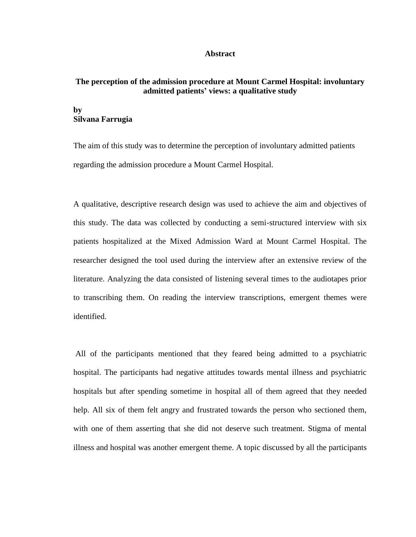## **Abstract**

## **The perception of the admission procedure at Mount Carmel Hospital: involuntary admitted patients' views: a qualitative study**

## **by Silvana Farrugia**

The aim of this study was to determine the perception of involuntary admitted patients regarding the admission procedure a Mount Carmel Hospital.

A qualitative, descriptive research design was used to achieve the aim and objectives of this study. The data was collected by conducting a semi-structured interview with six patients hospitalized at the Mixed Admission Ward at Mount Carmel Hospital. The researcher designed the tool used during the interview after an extensive review of the literature. Analyzing the data consisted of listening several times to the audiotapes prior to transcribing them. On reading the interview transcriptions, emergent themes were identified.

All of the participants mentioned that they feared being admitted to a psychiatric hospital. The participants had negative attitudes towards mental illness and psychiatric hospitals but after spending sometime in hospital all of them agreed that they needed help. All six of them felt angry and frustrated towards the person who sectioned them, with one of them asserting that she did not deserve such treatment. Stigma of mental illness and hospital was another emergent theme. A topic discussed by all the participants